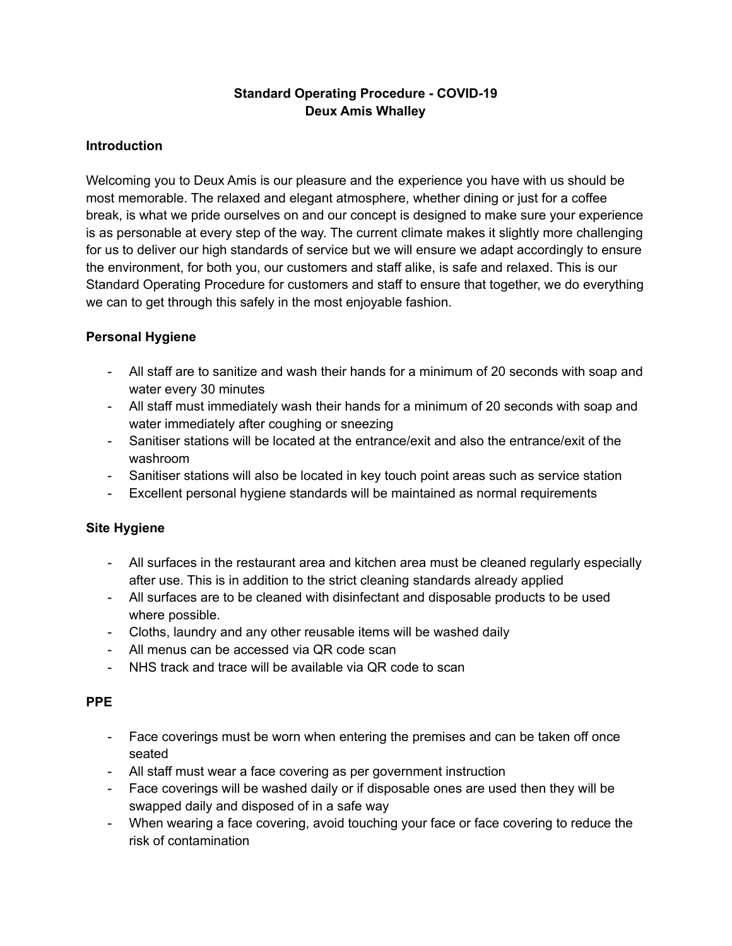# **Standard Operating Procedure - COVID-19 Deux Amis Whalley**

### **Introduction**

Welcoming you to Deux Amis is our pleasure and the experience you have with us should be most memorable. The relaxed and elegant atmosphere, whether dining or just for a coffee break, is what we pride ourselves on and our concept is designed to make sure your experience is as personable at every step of the way. The current climate makes it slightly more challenging for us to deliver our high standards of service but we will ensure we adapt accordingly to ensure the environment, for both you, our customers and staff alike, is safe and relaxed. This is our Standard Operating Procedure for customers and staff to ensure that together, we do everything we can to get through this safely in the most enjoyable fashion.

### **Personal Hygiene**

- All staff are to sanitize and wash their hands for a minimum of 20 seconds with soap and water every 30 minutes
- All staff must immediately wash their hands for a minimum of 20 seconds with soap and water immediately after coughing or sneezing
- Sanitiser stations will be located at the entrance/exit and also the entrance/exit of the washroom
- Sanitiser stations will also be located in key touch point areas such as service station
- Excellent personal hygiene standards will be maintained as normal requirements

#### **Site Hygiene**

- All surfaces in the restaurant area and kitchen area must be cleaned regularly especially after use. This is in addition to the strict cleaning standards already applied
- All surfaces are to be cleaned with disinfectant and disposable products to be used where possible.
- Cloths, laundry and any other reusable items will be washed daily
- All menus can be accessed via QR code scan
- NHS track and trace will be available via QR code to scan

#### **PPE**

- Face coverings must be worn when entering the premises and can be taken off once seated
- All staff must wear a face covering as per government instruction
- Face coverings will be washed daily or if disposable ones are used then they will be swapped daily and disposed of in a safe way
- When wearing a face covering, avoid touching your face or face covering to reduce the risk of contamination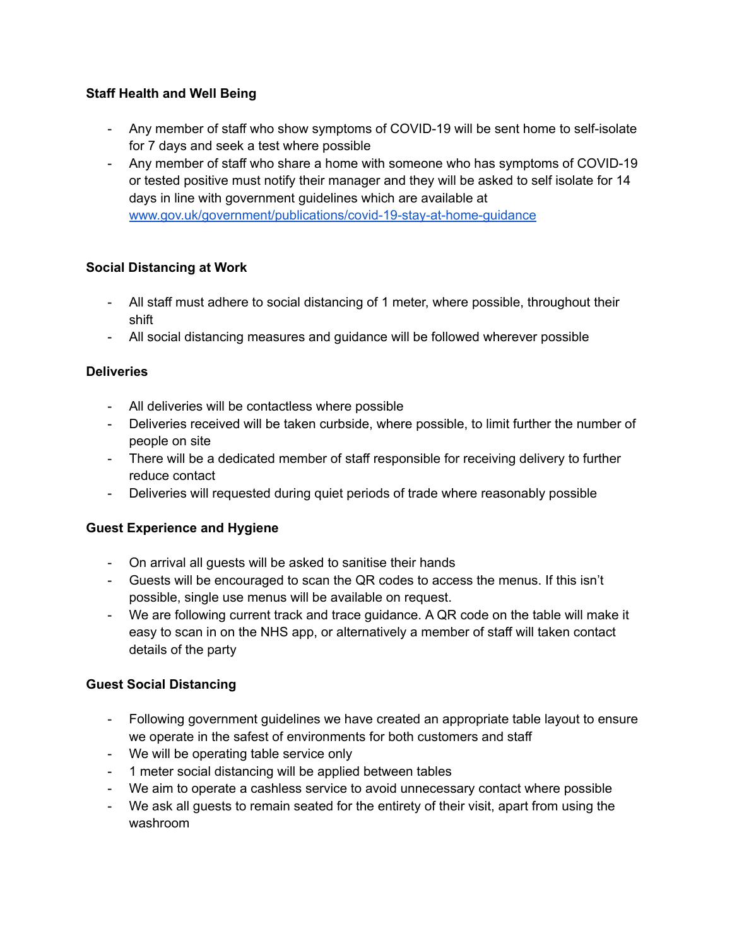## **Staff Health and Well Being**

- Any member of staff who show symptoms of COVID-19 will be sent home to self-isolate for 7 days and seek a test where possible
- Any member of staff who share a home with someone who has symptoms of COVID-19 or tested positive must notify their manager and they will be asked to self isolate for 14 days in line with government guidelines which are available at [www.gov.uk/government/publications/covid-19-stay-at-home-guidance](http://www.gov.uk/government/publications/covid-19-stay-at-home-guidance)

### **Social Distancing at Work**

- All staff must adhere to social distancing of 1 meter, where possible, throughout their shift
- All social distancing measures and guidance will be followed wherever possible

### **Deliveries**

- All deliveries will be contactless where possible
- Deliveries received will be taken curbside, where possible, to limit further the number of people on site
- There will be a dedicated member of staff responsible for receiving delivery to further reduce contact
- Deliveries will requested during quiet periods of trade where reasonably possible

#### **Guest Experience and Hygiene**

- On arrival all guests will be asked to sanitise their hands
- Guests will be encouraged to scan the QR codes to access the menus. If this isn't possible, single use menus will be available on request.
- We are following current track and trace guidance. A QR code on the table will make it easy to scan in on the NHS app, or alternatively a member of staff will taken contact details of the party

#### **Guest Social Distancing**

- Following government guidelines we have created an appropriate table layout to ensure we operate in the safest of environments for both customers and staff
- We will be operating table service only
- 1 meter social distancing will be applied between tables
- We aim to operate a cashless service to avoid unnecessary contact where possible
- We ask all guests to remain seated for the entirety of their visit, apart from using the washroom